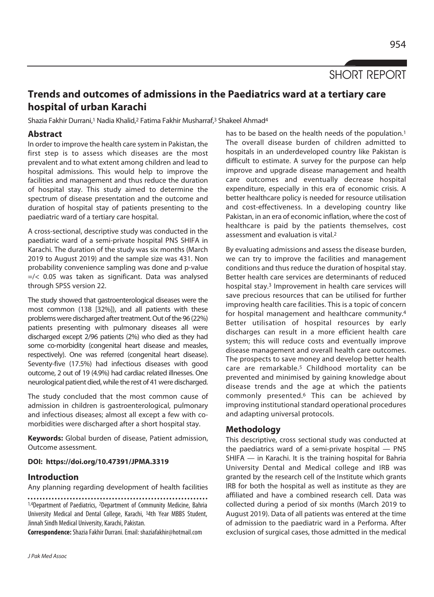SHORT REPORT

# **Trends and outcomes of admissions in the Paediatrics ward at a tertiary care hospital of urban Karachi**

Shazia Fakhir Durrani,<sup>1</sup> Nadia Khalid,<sup>2</sup> Fatima Fakhir Musharraf,<sup>3</sup> Shakeel Ahmad<sup>4</sup>

# **Abstract**

In order to improve the health care system in Pakistan, the first step is to assess which diseases are the most prevalent and to what extent among children and lead to hospital admissions. This would help to improve the facilities and management and thus reduce the duration of hospital stay. This study aimed to determine the spectrum of disease presentation and the outcome and duration of hospital stay of patients presenting to the paediatric ward of a tertiary care hospital.

A cross-sectional, descriptive study was conducted in the paediatric ward of a semi-private hospital PNS SHIFA in Karachi. The duration of the study was six months (March 2019 to August 2019) and the sample size was 431. Non probability convenience sampling was done and p-value  $=\times$  0.05 was taken as significant. Data was analysed through SPSS version 22.

The study showed that gastroenterological diseases were the most common (138 [32%]), and all patients with these problems were discharged after treatment. Out of the 96 (22%) patients presenting with pulmonary diseases all were discharged except 2/96 patients (2%) who died as they had some co-morbidity (congenital heart disease and measles, respectively). One was referred (congenital heart disease). Seventy-five (17.5%) had infectious diseases with good outcome, 2 out of 19 (4.9%) had cardiac related illnesses. One neurological patient died, while the rest of 41 were discharged.

The study concluded that the most common cause of admission in children is gastroenterological, pulmonary and infectious diseases; almost all except a few with comorbidities were discharged after a short hospital stay.

**Keywords:** Global burden of disease, Patient admission, Outcome assessment.

#### **DOI: https://doi.org/10.47391/JPMA.3319**

## **Introduction**

Any planning regarding development of health facilities

1,4Department of Paediatrics, 2Department of Community Medicine, Bahria University Medical and Dental College, Karachi, 34th Year MBBS Student, Jinnah Sindh Medical University, Karachi, Pakistan.

**Correspondence:** Shazia Fakhir Durrani. Email: shaziafakhir@hotmail.com

J Pak Med Assoc

has to be based on the health needs of the population.<sup>1</sup> The overall disease burden of children admitted to hospitals in an underdeveloped country like Pakistan is difficult to estimate. A survey for the purpose can help improve and upgrade disease management and health care outcomes and eventually decrease hospital expenditure, especially in this era of economic crisis. A better healthcare policy is needed for resource utilisation and cost-effectiveness. In a developing country like Pakistan, in an era of economic inflation, where the cost of healthcare is paid by the patients themselves, cost assessment and evaluation is vital.2

By evaluating admissions and assess the disease burden, we can try to improve the facilities and management conditions and thus reduce the duration of hospital stay. Better health care services are determinants of reduced hospital stay.3 Improvement in health care services will save precious resources that can be utilised for further improving health care facilities. This is a topic of concern for hospital management and healthcare community.4 Better utilisation of hospital resources by early discharges can result in a more efficient health care system; this will reduce costs and eventually improve disease management and overall health care outcomes. The prospects to save money and develop better health care are remarkable.<sup>5</sup> Childhood mortality can be prevented and minimised by gaining knowledge about disease trends and the age at which the patients commonly presented.6 This can be achieved by improving institutional standard operational procedures and adapting universal protocols.

## **Methodology**

This descriptive, cross sectional study was conducted at the paediatrics ward of a semi-private hospital — PNS SHIFA — in Karachi. It is the training hospital for Bahria University Dental and Medical college and IRB was granted by the research cell of the Institute which grants IRB for both the hospital as well as institute as they are affiliated and have a combined research cell. Data was collected during a period of six months (March 2019 to August 2019). Data of all patients was entered at the time of admission to the paediatric ward in a Performa. After exclusion of surgical cases, those admitted in the medical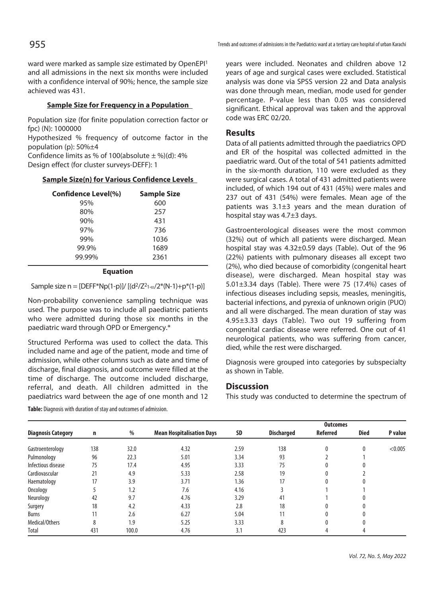ward were marked as sample size estimated by OpenEPI1 and all admissions in the next six months were included with a confidence interval of 90%; hence, the sample size achieved was 431.

#### **Sample Size for Frequency in a Population**

Population size (for finite population correction factor or fpc) (N): 1000000

Hypothesized % frequency of outcome factor in the population (p): 50%±4

Confidence limits as % of 100(absolute  $\pm$  %)(d): 4% Design effect (for cluster surveys-DEFF): 1

#### **Sample Size(n) for Various Confidence Levels**

| Confidence Level(%) | <b>Sample Size</b> |  |  |  |
|---------------------|--------------------|--|--|--|
| 95%                 | 600                |  |  |  |
| 80%                 | 257                |  |  |  |
| 90%                 | 431                |  |  |  |
| 97%                 | 736                |  |  |  |
| 99%                 | 1036               |  |  |  |
| 99.9%               | 1689               |  |  |  |
| 99.99%              | 2361               |  |  |  |
|                     |                    |  |  |  |

#### **Equation**

Sample size  $n = [DEF*Np(1-p)]/ [(d^2/Z^21-\alpha/2*(N-1)+p^*(1-p)]$ 

Non-probability convenience sampling technique was used. The purpose was to include all paediatric patients who were admitted during those six months in the paediatric ward through OPD or Emergency.\*

Structured Performa was used to collect the data. This included name and age of the patient, mode and time of admission, while other columns such as date and time of discharge, final diagnosis, and outcome were filled at the time of discharge. The outcome included discharge, referral, and death. All children admitted in the paediatrics ward between the age of one month and 12

**Table:** Diagnosis with duration of stay and outcomes of admission.

years were included. Neonates and children above 12 years of age and surgical cases were excluded. Statistical analysis was done via SPSS version 22 and Data analysis was done through mean, median, mode used for gender percentage. P-value less than 0.05 was considered significant. Ethical approval was taken and the approval code was ERC 02/20.

### **Results**

Data of all patients admitted through the paediatrics OPD and ER of the hospital was collected admitted in the paediatric ward. Out of the total of 541 patients admitted in the six-month duration, 110 were excluded as they were surgical cases. A total of 431 admitted patients were included, of which 194 out of 431 (45%) were males and 237 out of 431 (54%) were females. Mean age of the patients was 3.1±3 years and the mean duration of hospital stay was 4.7±3 days.

Gastroenterological diseases were the most common (32%) out of which all patients were discharged. Mean hospital stay was 4.32±0.59 days (Table). Out of the 96 (22%) patients with pulmonary diseases all except two (2%), who died because of comorbidity (congenital heart disease), were discharged. Mean hospital stay was 5.01±3.34 days (Table). There were 75 (17.4%) cases of infectious diseases including sepsis, measles, meningitis, bacterial infections, and pyrexia of unknown origin (PUO) and all were discharged. The mean duration of stay was 4.95±3.33 days (Table). Two out 19 suffering from congenital cardiac disease were referred. One out of 41 neurological patients, who was suffering from cancer, died, while the rest were discharged.

Diagnosis were grouped into categories by subspecialty as shown in Table.

### **Discussion**

This study was conducted to determine the spectrum of

| <b>Diagnosis Category</b> | n   | %     | <b>Mean Hospitalisation Days</b> |           | <b>Outcomes</b>   |                 |             |         |
|---------------------------|-----|-------|----------------------------------|-----------|-------------------|-----------------|-------------|---------|
|                           |     |       |                                  | <b>SD</b> | <b>Discharged</b> | <b>Referred</b> | <b>Died</b> | P value |
| Gastroenterology          | 138 | 32.0  | 4.32                             | 2.59      | 138               | 0               | $\theta$    | < 0.005 |
| Pulmonology               | 96  | 22.3  | 5.01                             | 3.34      | 93                |                 |             |         |
| Infectious disease        | 75  | 17.4  | 4.95                             | 3.33      | 75                | 0               |             |         |
| Cardiovascular            | 21  | 4.9   | 5.33                             | 2.58      | 19                |                 |             |         |
| Haematology               | 17  | 3.9   | 3.71                             | 1.36      | 17                | 0               |             |         |
| Oncology                  |     | 1.2   | 7.6                              | 4.16      |                   |                 |             |         |
| Neurology                 | 42  | 9.7   | 4.76                             | 3.29      | 41                |                 |             |         |
| Surgery                   | 18  | 4.2   | 4.33                             | 2.8       | 18                |                 |             |         |
| Burns                     | 11  | 2.6   | 6.27                             | 5.04      | 11                |                 |             |         |
| Medical/Others            | 8   | 1.9   | 5.25                             | 3.33      | 8                 | <sup>0</sup>    |             |         |
| Total                     | 431 | 100.0 | 4.76                             | 3.1       | 423               |                 | 4           |         |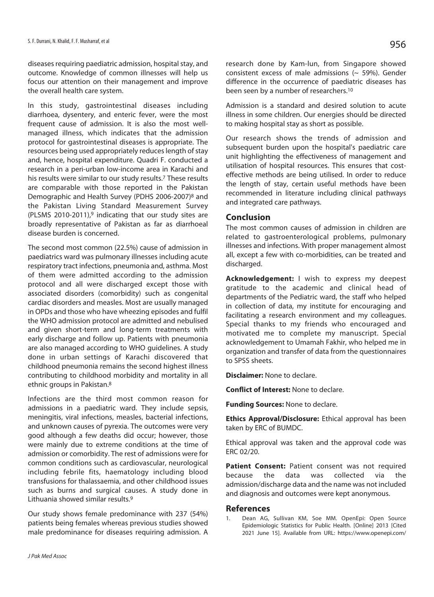diseases requiring paediatric admission, hospital stay, and outcome. Knowledge of common illnesses will help us focus our attention on their management and improve the overall health care system.

In this study, gastrointestinal diseases including diarrhoea, dysentery, and enteric fever, were the most frequent cause of admission. It is also the most wellmanaged illness, which indicates that the admission protocol for gastrointestinal diseases is appropriate. The resources being used appropriately reduces length of stay and, hence, hospital expenditure. Quadri F. conducted a research in a peri-urban low-income area in Karachi and his results were similar to our study results.7 These results are comparable with those reported in the Pakistan Demographic and Health Survey (PDHS 2006-2007)8 and the Pakistan Living Standard Measurement Survey (PLSMS 2010-2011),<sup>9</sup> indicating that our study sites are broadly representative of Pakistan as far as diarrhoeal disease burden is concerned.

The second most common (22.5%) cause of admission in paediatrics ward was pulmonary illnesses including acute respiratory tract infections, pneumonia and, asthma. Most of them were admitted according to the admission protocol and all were discharged except those with associated disorders (comorbidity) such as congenital cardiac disorders and measles. Most are usually managed in OPDs and those who have wheezing episodes and fulfil the WHO admission protocol are admitted and nebulised and given short-term and long-term treatments with early discharge and follow up. Patients with pneumonia are also managed according to WHO guidelines. A study done in urban settings of Karachi discovered that childhood pneumonia remains the second highest illness contributing to childhood morbidity and mortality in all ethnic groups in Pakistan.8

Infections are the third most common reason for admissions in a paediatric ward. They include sepsis, meningitis, viral infections, measles, bacterial infections, and unknown causes of pyrexia. The outcomes were very good although a few deaths did occur; however, those were mainly due to extreme conditions at the time of admission or comorbidity. The rest of admissions were for common conditions such as cardiovascular, neurological including febrile fits, haematology including blood transfusions for thalassaemia, and other childhood issues such as burns and surgical causes. A study done in Lithuania showed similar results.9

Our study shows female predominance with 237 (54%) patients being females whereas previous studies showed male predominance for diseases requiring admission. A

research done by Kam-lun, from Singapore showed consistent excess of male admissions ( $\sim$  59%). Gender difference in the occurrence of paediatric diseases has been seen by a number of researchers.10

Admission is a standard and desired solution to acute illness in some children. Our energies should be directed to making hospital stay as short as possible.

Our research shows the trends of admission and subsequent burden upon the hospital's paediatric care unit highlighting the effectiveness of management and utilisation of hospital resources. This ensures that costeffective methods are being utilised. In order to reduce the length of stay, certain useful methods have been recommended in literature including clinical pathways and integrated care pathways.

### **Conclusion**

The most common causes of admission in children are related to gastroenterological problems, pulmonary illnesses and infections. With proper management almost all, except a few with co-morbidities, can be treated and discharged.

**Acknowledgement:** I wish to express my deepest gratitude to the academic and clinical head of departments of the Pediatric ward, the staff who helped in collection of data, my institute for encouraging and facilitating a research environment and my colleagues. Special thanks to my friends who encouraged and motivated me to complete my manuscript. Special acknowledgement to Umamah Fakhir, who helped me in organization and transfer of data from the questionnaires to SPSS sheets.

**Disclaimer:** None to declare.

**Conflict of Interest:** None to declare.

**Funding Sources:** None to declare.

**Ethics Approval/Disclosure:** Ethical approval has been taken by ERC of BUMDC.

Ethical approval was taken and the approval code was ERC 02/20.

Patient Consent: Patient consent was not required because the data was collected via the admission/discharge data and the name was not included and diagnosis and outcomes were kept anonymous.

#### **References**

1. Dean AG, Sullivan KM, Soe MM. OpenEpi: Open Source Epidemiologic Statistics for Public Health. [Online] 2013 [Cited 2021 June 15]. Available from URL: https://www.openepi.com/